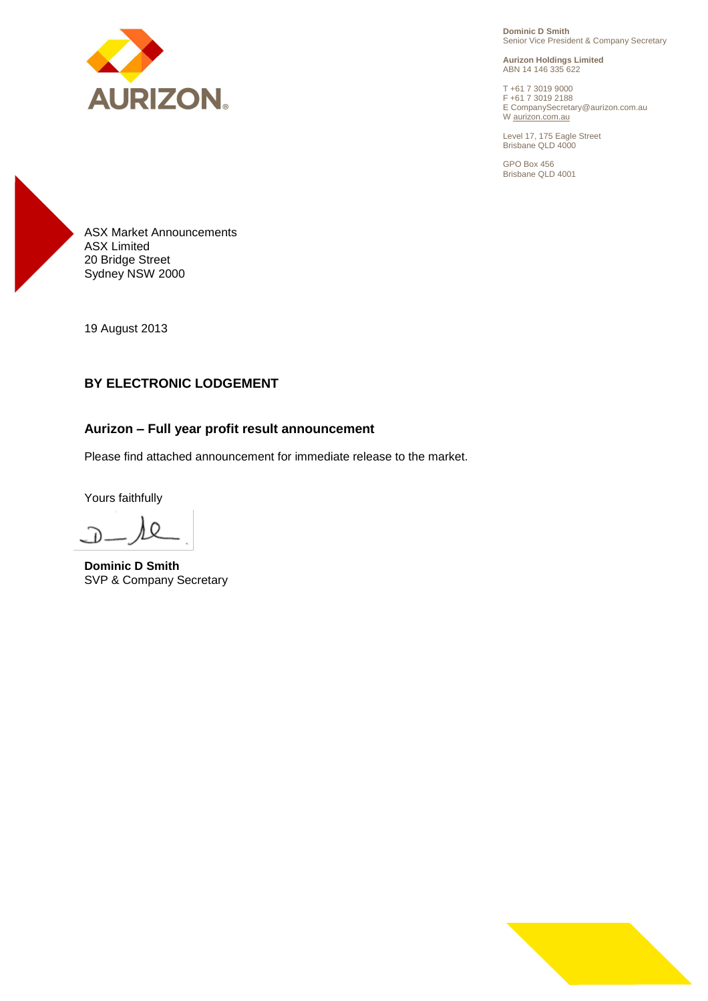

**Dominic D Smith** Senior Vice President & Company Secretary

**Aurizon Holdings Limited** ABN 14 146 335 622

T +61 7 3019 9000 F +61 7 3019 2188 E CompanySecretary@aurizon.com.au W aurizon.com.au

Level 17, 175 Eagle Street Brisbane QLD 4000

GPO Box 456 Brisbane QLD 4001



19 August 2013

## **BY ELECTRONIC LODGEMENT**

### **Aurizon – Full year profit result announcement**

Please find attached announcement for immediate release to the market.

Yours faithfully

 $\Omega$ 

**Dominic D Smith** SVP & Company Secretary

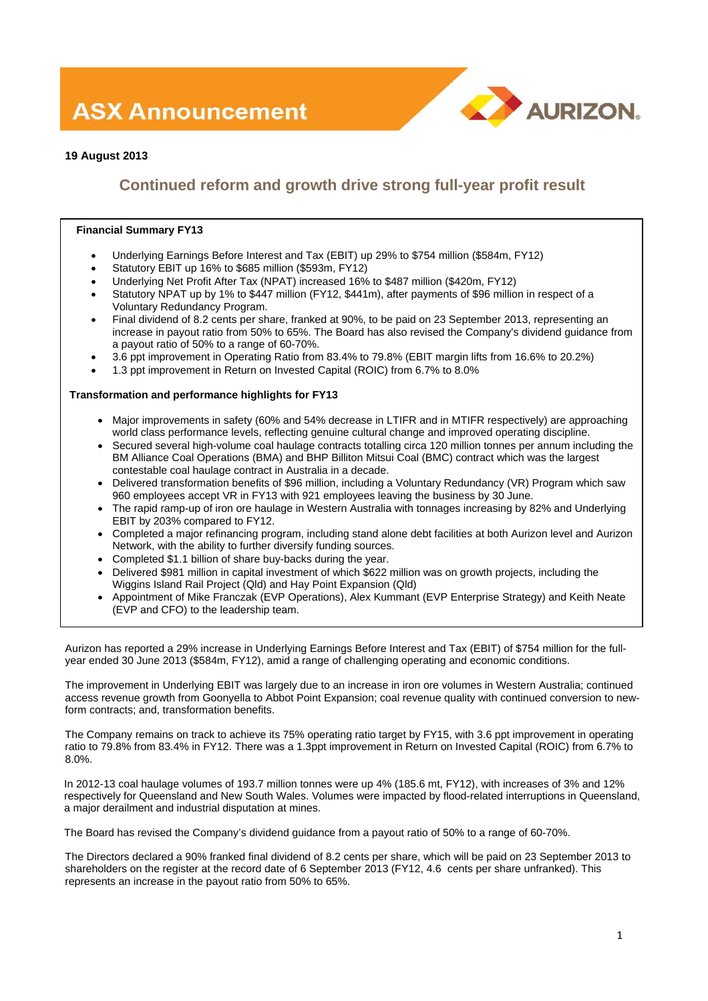# **ASX Announcement**



### **19 August 2013**

# **Continued reform and growth drive strong full-year profit result**

### **Financial Summary FY13**

- Underlying Earnings Before Interest and Tax (EBIT) up 29% to \$754 million (\$584m, FY12)
- Statutory EBIT up 16% to \$685 million (\$593m, FY12)
- Underlying Net Profit After Tax (NPAT) increased 16% to \$487 million (\$420m, FY12)
- Statutory NPAT up by 1% to \$447 million (FY12, \$441m), after payments of \$96 million in respect of a Voluntary Redundancy Program.
- Final dividend of 8.2 cents per share, franked at 90%, to be paid on 23 September 2013, representing an increase in payout ratio from 50% to 65%. The Board has also revised the Company's dividend guidance from a payout ratio of 50% to a range of 60-70%.
- 3.6 ppt improvement in Operating Ratio from 83.4% to 79.8% (EBIT margin lifts from 16.6% to 20.2%)
- 1.3 ppt improvement in Return on Invested Capital (ROIC) from 6.7% to 8.0%

### **Transformation and performance highlights for FY13**

- Major improvements in safety (60% and 54% decrease in LTIFR and in MTIFR respectively) are approaching world class performance levels, reflecting genuine cultural change and improved operating discipline.
- Secured several high-volume coal haulage contracts totalling circa 120 million tonnes per annum including the BM Alliance Coal Operations (BMA) and BHP Billiton Mitsui Coal (BMC) contract which was the largest contestable coal haulage contract in Australia in a decade.
- Delivered transformation benefits of \$96 million, including a Voluntary Redundancy (VR) Program which saw 960 employees accept VR in FY13 with 921 employees leaving the business by 30 June.
- The rapid ramp-up of iron ore haulage in Western Australia with tonnages increasing by 82% and Underlying EBIT by 203% compared to FY12.
- Completed a major refinancing program, including stand alone debt facilities at both Aurizon level and Aurizon Network, with the ability to further diversify funding sources.
- Completed \$1.1 billion of share buy-backs during the year.
- Delivered \$981 million in capital investment of which \$622 million was on growth projects, including the Wiggins Island Rail Project (Qld) and Hay Point Expansion (Qld)
- Appointment of Mike Franczak (EVP Operations), Alex Kummant (EVP Enterprise Strategy) and Keith Neate (EVP and CFO) to the leadership team.

Aurizon has reported a 29% increase in Underlying Earnings Before Interest and Tax (EBIT) of \$754 million for the fullyear ended 30 June 2013 (\$584m, FY12), amid a range of challenging operating and economic conditions.

The improvement in Underlying EBIT was largely due to an increase in iron ore volumes in Western Australia; continued access revenue growth from Goonyella to Abbot Point Expansion; coal revenue quality with continued conversion to newform contracts; and, transformation benefits.

The Company remains on track to achieve its 75% operating ratio target by FY15, with 3.6 ppt improvement in operating ratio to 79.8% from 83.4% in FY12. There was a 1.3ppt improvement in Return on Invested Capital (ROIC) from 6.7% to 8.0%.

In 2012-13 coal haulage volumes of 193.7 million tonnes were up 4% (185.6 mt, FY12), with increases of 3% and 12% respectively for Queensland and New South Wales. Volumes were impacted by flood-related interruptions in Queensland, a major derailment and industrial disputation at mines.

The Board has revised the Company's dividend guidance from a payout ratio of 50% to a range of 60-70%.

The Directors declared a 90% franked final dividend of 8.2 cents per share, which will be paid on 23 September 2013 to shareholders on the register at the record date of 6 September 2013 (FY12, 4.6 cents per share unfranked). This represents an increase in the payout ratio from 50% to 65%.